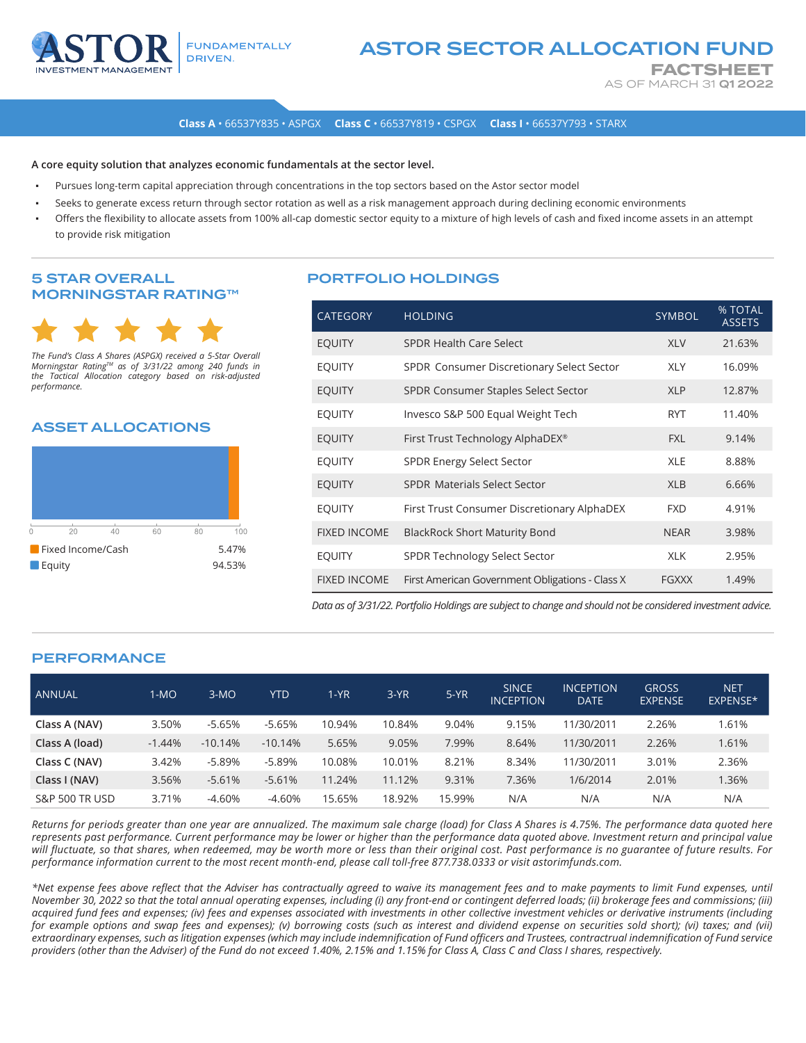

**FACTSHEET** AS OF MARCH 31 Q1 2022

**Class A** • 66537Y835 • ASPGX **Class C** • 66537Y819 • CSPGX **Class I** • 66537Y793 • STARX

**A core equity solution that analyzes economic fundamentals at the sector level.** 

- Pursues long-term capital appreciation through concentrations in the top sectors based on the Astor sector model
- Seeks to generate excess return through sector rotation as well as a risk management approach during declining economic environments
- Offers the flexibility to allocate assets from 100% all-cap domestic sector equity to a mixture of high levels of cash and fixed income assets in an attempt to provide risk mitigation

## 5 STAR OVERALL MORNINGSTAR RATING™



*The Fund's Class A Shares (ASPGX) received a 5-Star Overall Morningstar RatingTM as of 3/31/22 among 240 funds in the Tactical Allocation category based on risk-adjusted performance.*

## ASSET ALLOCATIONS



# PORTFOLIO HOLDINGS

| <b>CATEGORY</b>     | <b>HOLDING</b>                                  | <b>SYMBOL</b> | % TOTAL<br><b>ASSETS</b> |
|---------------------|-------------------------------------------------|---------------|--------------------------|
| <b>EOUITY</b>       | SPDR Health Care Select                         | <b>XLV</b>    | 21.63%                   |
| <b>EQUITY</b>       | SPDR Consumer Discretionary Select Sector       | <b>XLY</b>    | 16.09%                   |
| <b>EQUITY</b>       | SPDR Consumer Staples Select Sector             | <b>XLP</b>    | 12.87%                   |
| <b>EQUITY</b>       | Invesco S&P 500 Equal Weight Tech               | <b>RYT</b>    | 11.40%                   |
| <b>EQUITY</b>       | First Trust Technology AlphaDEX <sup>®</sup>    | <b>FXL</b>    | 9.14%                    |
| <b>EOUITY</b>       | <b>SPDR Energy Select Sector</b>                | <b>XLE</b>    | 8.88%                    |
| <b>EOUITY</b>       | SPDR Materials Select Sector                    | <b>XLB</b>    | 6.66%                    |
| <b>EOUITY</b>       | First Trust Consumer Discretionary AlphaDEX     | <b>FXD</b>    | 4.91%                    |
| <b>FIXED INCOME</b> | <b>BlackRock Short Maturity Bond</b>            | <b>NEAR</b>   | 3.98%                    |
| <b>EOUITY</b>       | SPDR Technology Select Sector                   | <b>XLK</b>    | 2.95%                    |
| <b>FIXED INCOME</b> | First American Government Obligations - Class X | <b>FGXXX</b>  | 1.49%                    |

*Data as of 3/31/22. Portfolio Holdings are subject to change and should not be considered investment advice.*

## PERFORMANCE

| <b>ANNUAL</b>             | $1-MO$   | $3-MO$    | <b>YTD</b> | $1-YR$ | $3-YR$ | $5-YR$ | <b>SINCE</b><br><b>INCEPTION</b> | <b>INCEPTION</b><br><b>DATE</b> | <b>GROSS</b><br><b>EXPENSE</b> | <b>NET</b><br>EXPENSE* |
|---------------------------|----------|-----------|------------|--------|--------|--------|----------------------------------|---------------------------------|--------------------------------|------------------------|
| Class A (NAV)             | 3.50%    | $-5.65%$  | $-5.65%$   | 10.94% | 10.84% | 9.04%  | 9.15%                            | 11/30/2011                      | 2.26%                          | 1.61%                  |
| Class A (load)            | $-1.44%$ | $-10.14%$ | $-10.14%$  | 5.65%  | 9.05%  | 7.99%  | 8.64%                            | 11/30/2011                      | 2.26%                          | 1.61%                  |
| Class C (NAV)             | 3.42%    | $-5.89%$  | $-5.89%$   | 10.08% | 10.01% | 8.21%  | 8.34%                            | 11/30/2011                      | 3.01%                          | 2.36%                  |
| Class I (NAV)             | 3.56%    | $-5.61%$  | $-5.61%$   | 11.24% | 11.12% | 9.31%  | 7.36%                            | 1/6/2014                        | 2.01%                          | 1.36%                  |
| <b>S&amp;P 500 TR USD</b> | 3.71%    | $-4.60%$  | $-4.60%$   | 15.65% | 18.92% | 15.99% | N/A                              | N/A                             | N/A                            | N/A                    |

*Returns for periods greater than one year are annualized. The maximum sale charge (load) for Class A Shares is 4.75%. The performance data quoted here represents past performance. Current performance may be lower or higher than the performance data quoted above. Investment return and principal value will fluctuate, so that shares, when redeemed, may be worth more or less than their original cost. Past performance is no guarantee of future results. For performance information current to the most recent month-end, please call toll-free 877.738.0333 or visit astorimfunds.com.*

*\*Net expense fees above reflect that the Adviser has contractually agreed to waive its management fees and to make payments to limit Fund expenses, until November 30, 2022 so that the total annual operating expenses, including (i) any front-end or contingent deferred loads; (ii) brokerage fees and commissions; (iii) acquired fund fees and expenses; (iv) fees and expenses associated with investments in other collective investment vehicles or derivative instruments (including for example options and swap fees and expenses); (v) borrowing costs (such as interest and dividend expense on securities sold short); (vi) taxes; and (vii) extraordinary expenses, such as litigation expenses (which may include indemnification of Fund officers and Trustees, contractrual indemnification of Fund service providers (other than the Adviser) of the Fund do not exceed 1.40%, 2.15% and 1.15% for Class A, Class C and Class I shares, respectively.*